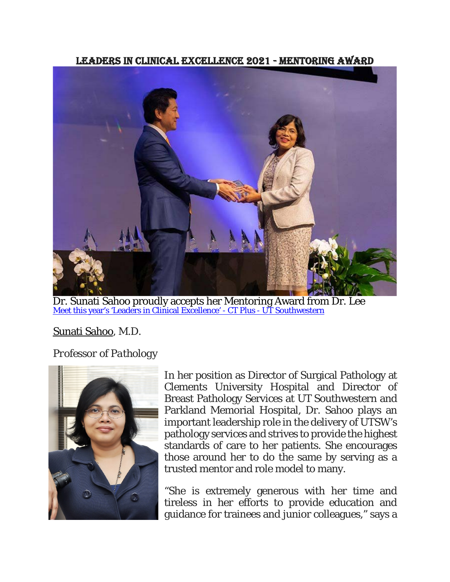Leaders in Clinical Excellence 2021 - Mentoring Award



[Meet this year's 'Leaders in Clinical Excellence' -](https://www.utsouthwestern.edu/ctplus/stories/2021/lce21-leaders-in-clinical-excellence-awards.html) CT Plus - UT Southwestern Dr. Sunati Sahoo proudly accepts her Mentoring Award from Dr. Lee

## [Sunati Sahoo,](https://utswmed.org/doctors/sunati-sahoo/?_ga=2.34332646.695141548.1636986774-2106764523.1631633236) M.D.

*Professor of Pathology*



In her position as Director of Surgical Pathology at Clements University Hospital and Director of Breast Pathology Services at UT Southwestern and Parkland Memorial Hospital, Dr. Sahoo plays an important leadership role in the delivery of UTSW's pathology services and strives to provide the highest standards of care to her patients. She encourages those around her to do the same by serving as a trusted mentor and role model to many.

"She is extremely generous with her time and tireless in her efforts to provide education and guidance for trainees and junior colleagues," says a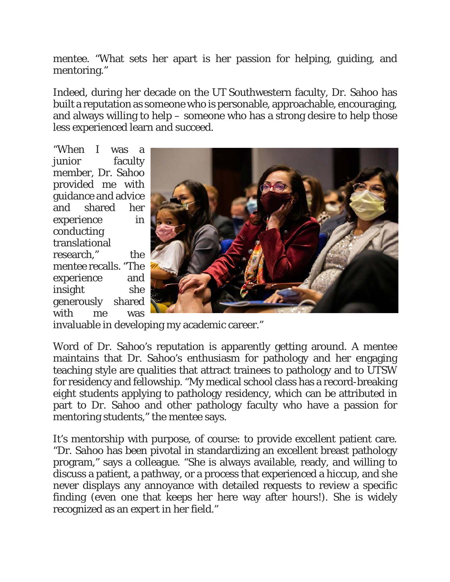mentee. "What sets her apart is her passion for helping, guiding, and mentoring."

Indeed, during her decade on the UT Southwestern faculty, Dr. Sahoo has built a reputation as someone who is personable, approachable, encouraging, and always willing to help – someone who has a strong desire to help those less experienced learn and succeed.

"When I was a junior faculty member, Dr. Sahoo provided me with guidance and advice and shared her experience in conducting translational research," the mentee recalls. "The experience and insight she generously shared with me was



invaluable in developing my academic career."

Word of Dr. Sahoo's reputation is apparently getting around. A mentee maintains that Dr. Sahoo's enthusiasm for pathology and her engaging teaching style are qualities that attract trainees to pathology and to UTSW for residency and fellowship. "My medical school class has a record-breaking eight students applying to pathology residency, which can be attributed in part to Dr. Sahoo and other pathology faculty who have a passion for mentoring students," the mentee says.

It's mentorship with purpose, of course: to provide excellent patient care. "Dr. Sahoo has been pivotal in standardizing an excellent breast pathology program," says a colleague. "She is always available, ready, and willing to discuss a patient, a pathway, or a process that experienced a hiccup, and she never displays any annoyance with detailed requests to review a specific finding (even one that keeps her here way after hours!). She is widely recognized as an expert in her field."